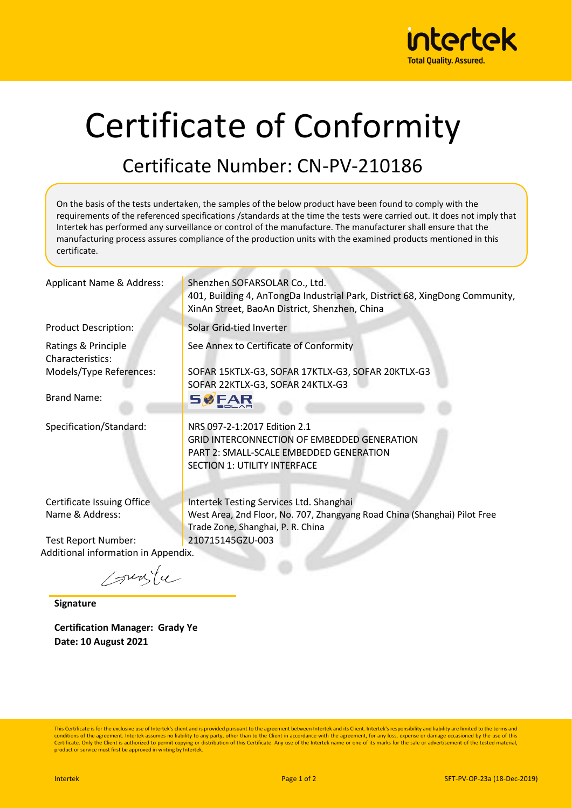

## Certificate of Conformity

## Certificate Number: CN-PV-210186

On the basis of the tests undertaken, the samples of the below product have been found to comply with the requirements of the referenced specifications /standards at the time the tests were carried out. It does not imply that Intertek has performed any surveillance or control of the manufacture. The manufacturer shall ensure that the manufacturing process assures compliance of the production units with the examined products mentioned in this certificate.

| Applicant Name & Address:                     | Shenzhen SOFARSOLAR Co., Ltd.<br>401, Building 4, AnTongDa Industrial Park, District 68, XingDong Community,<br>XinAn Street, BaoAn District, Shenzhen, China        |  |  |  |  |
|-----------------------------------------------|----------------------------------------------------------------------------------------------------------------------------------------------------------------------|--|--|--|--|
| <b>Product Description:</b>                   | Solar Grid-tied Inverter                                                                                                                                             |  |  |  |  |
| Ratings & Principle<br>Characteristics:       | See Annex to Certificate of Conformity                                                                                                                               |  |  |  |  |
| Models/Type References:                       | SOFAR 15KTLX-G3, SOFAR 17KTLX-G3, SOFAR 20KTLX-G3<br>SOFAR 22KTLX-G3, SOFAR 24KTLX-G3                                                                                |  |  |  |  |
| <b>Brand Name:</b>                            | <b>SØFAR</b>                                                                                                                                                         |  |  |  |  |
| Specification/Standard:                       | NRS 097-2-1:2017 Edition 2.1<br><b>GRID INTERCONNECTION OF EMBEDDED GENERATION</b><br>PART 2: SMALL-SCALE EMBEDDED GENERATION<br><b>SECTION 1: UTILITY INTERFACE</b> |  |  |  |  |
| Certificate Issuing Office<br>Name & Address: | Intertek Testing Services Ltd. Shanghai<br>West Area, 2nd Floor, No. 707, Zhangyang Road China (Shanghai) Pilot Free<br>Trade Zone, Shanghai, P. R. China            |  |  |  |  |
| Test Report Number:                           | 210715145GZU-003                                                                                                                                                     |  |  |  |  |
| Additional information in Appendix.           |                                                                                                                                                                      |  |  |  |  |

sunfu

**Signature**

**Certification Manager: Grady Ye Date: 10 August 2021**

This Certificate is for the exclusive use of Intertek's client and is provided pursuant to the agreement between Intertek and its Client. Intertek's responsibility and liability are limited to the terms and conditions of the agreement. Intertek assumes no liability to any party, other than to the Client in accordance with the agreement, for any loss, expense or damage occasioned by the use of this Certificate. Only the Client is authorized to permit copying or distribution of this Certificate. Any use of the Intertek name or one of its marks for the sale or advertisement of the tested material, product or service must first be approved in writing by Intertek.